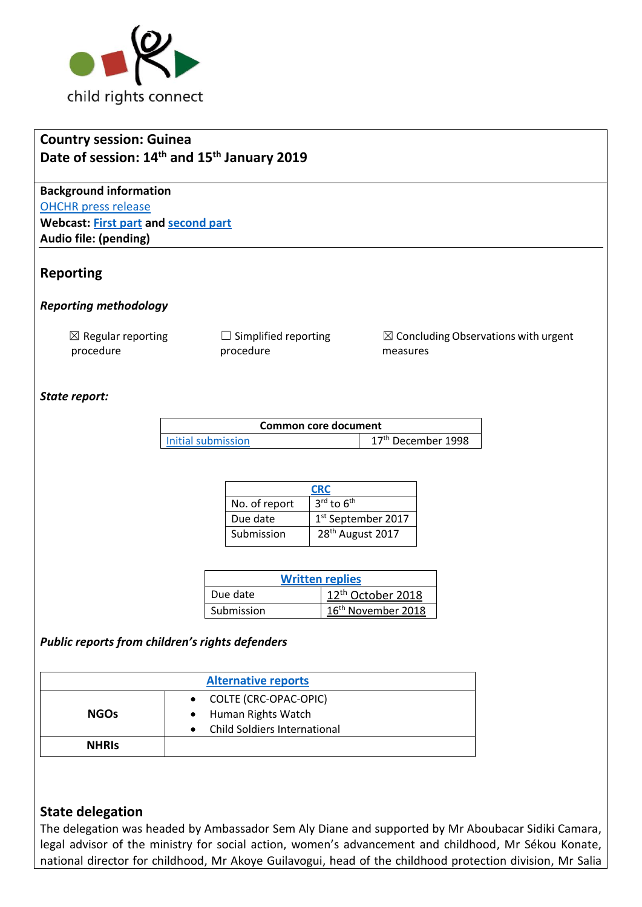

# **Country session: Guinea Date of session: 14th and 15th January 2019**

**Background information** [OHCHR press release](https://www.unog.ch/unog/website/news_media.nsf/(httpNewsByYear_en)/9E4FD4982FAE610BC12583830039E214?OpenDocument) **Webcast: [First part](http://webtv.un.org/search/consideration-of-guinea-2342nd-meeting-80th-session-committee-on-the-rights-of-the-child/5989518981001/?term=&lan=english&page=5) and [second part](http://webtv.un.org/search/consideration-of-guinea-contd-2343rd-meeting-80th-session-committee-on-the-rights-of-the-child/5989925127001/?term=&lan=english&page=5) Audio file: (pending)**

## **Reporting**

*Reporting methodology*

 $\boxtimes$  Regular reporting procedure

 $\Box$  Simplified reporting procedure

 $\boxtimes$  Concluding Observations with urgent measures

## *State report:*

| Common core document |                                |  |
|----------------------|--------------------------------|--|
| Initial submission   | 17 <sup>th</sup> December 1998 |  |

| <b>CRC</b>    |                                    |
|---------------|------------------------------------|
| No. of report | $3^{\text{rd}}$ to $6^{\text{th}}$ |
| Due date      | 1st September 2017                 |
| Submission    | 28 <sup>th</sup> August 2017       |

| <b>Written replies</b> |                                |  |  |
|------------------------|--------------------------------|--|--|
| Due date               | 12 <sup>th</sup> October 2018  |  |  |
| Submission             | 16 <sup>th</sup> November 2018 |  |  |

## *Public reports from children's rights defenders*

| <b>Alternative reports</b> |                                               |  |  |  |
|----------------------------|-----------------------------------------------|--|--|--|
| <b>NGOs</b>                | • COLTE (CRC-OPAC-OPIC)<br>Human Rights Watch |  |  |  |
|                            | <b>Child Soldiers International</b>           |  |  |  |
| <b>NHRIS</b>               |                                               |  |  |  |

## **State delegation**

The delegation was headed by Ambassador Sem Aly Diane and supported by Mr Aboubacar Sidiki Camara, legal advisor of the ministry for social action, women's advancement and childhood, Mr Sékou Konate, national director for childhood, Mr Akoye Guilavogui, head of the childhood protection division, Mr Salia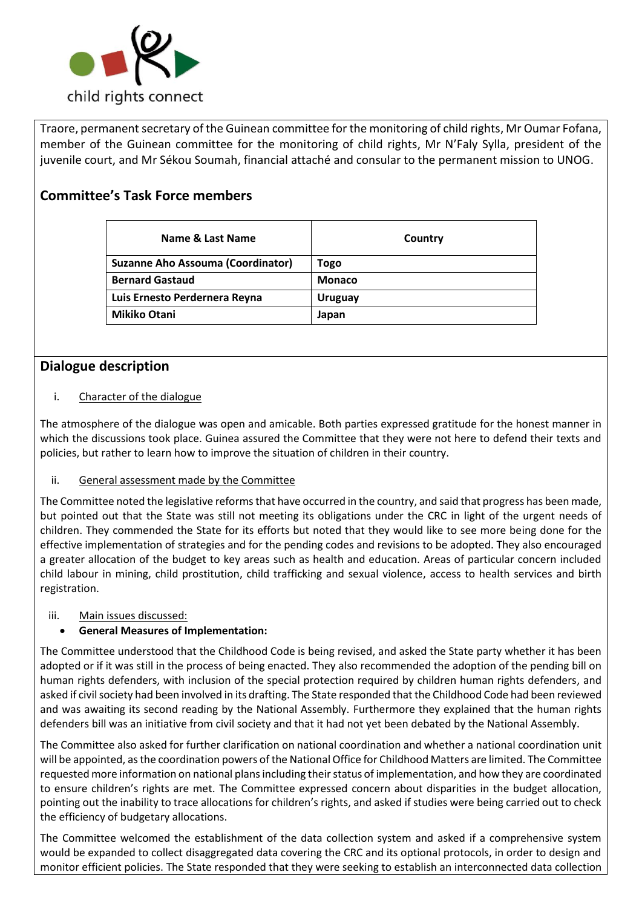

Traore, permanent secretary of the Guinean committee for the monitoring of child rights, Mr Oumar Fofana, member of the Guinean committee for the monitoring of child rights, Mr N'Faly Sylla, president of the juvenile court, and Mr Sékou Soumah, financial attaché and consular to the permanent mission to UNOG.

## **Committee's Task Force members**

| Name & Last Name                         | Country        |
|------------------------------------------|----------------|
| <b>Suzanne Aho Assouma (Coordinator)</b> | Togo           |
| <b>Bernard Gastaud</b>                   | <b>Monaco</b>  |
| Luis Ernesto Perdernera Reyna            | <b>Uruguay</b> |
| <b>Mikiko Otani</b>                      | Japan          |

## **Dialogue description**

#### i. Character of the dialogue

The atmosphere of the dialogue was open and amicable. Both parties expressed gratitude for the honest manner in which the discussions took place. Guinea assured the Committee that they were not here to defend their texts and policies, but rather to learn how to improve the situation of children in their country.

#### ii. General assessment made by the Committee

The Committee noted the legislative reforms that have occurred in the country, and said that progress has been made, but pointed out that the State was still not meeting its obligations under the CRC in light of the urgent needs of children. They commended the State for its efforts but noted that they would like to see more being done for the effective implementation of strategies and for the pending codes and revisions to be adopted. They also encouraged a greater allocation of the budget to key areas such as health and education. Areas of particular concern included child labour in mining, child prostitution, child trafficking and sexual violence, access to health services and birth registration.

#### iii. Main issues discussed:

## • **General Measures of Implementation:**

The Committee understood that the Childhood Code is being revised, and asked the State party whether it has been adopted or if it was still in the process of being enacted. They also recommended the adoption of the pending bill on human rights defenders, with inclusion of the special protection required by children human rights defenders, and asked if civil society had been involved in its drafting. The State responded that the Childhood Code had been reviewed and was awaiting its second reading by the National Assembly. Furthermore they explained that the human rights defenders bill was an initiative from civil society and that it had not yet been debated by the National Assembly.

The Committee also asked for further clarification on national coordination and whether a national coordination unit will be appointed, as the coordination powers of the National Office for Childhood Matters are limited. The Committee requested more information on national plans including their status of implementation, and how they are coordinated to ensure children's rights are met. The Committee expressed concern about disparities in the budget allocation, pointing out the inability to trace allocations for children's rights, and asked if studies were being carried out to check the efficiency of budgetary allocations.

The Committee welcomed the establishment of the data collection system and asked if a comprehensive system would be expanded to collect disaggregated data covering the CRC and its optional protocols, in order to design and monitor efficient policies. The State responded that they were seeking to establish an interconnected data collection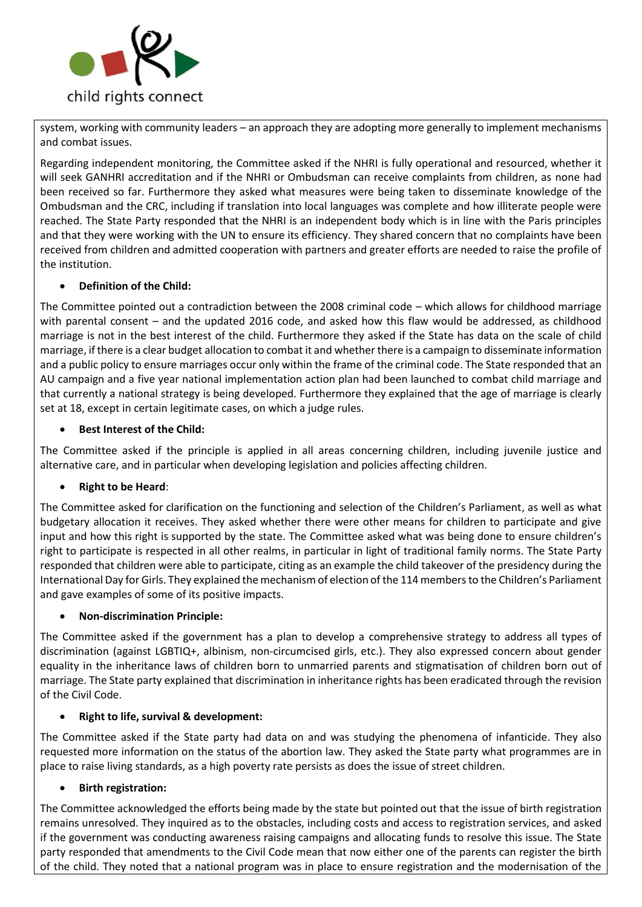

system, working with community leaders – an approach they are adopting more generally to implement mechanisms and combat issues.

Regarding independent monitoring, the Committee asked if the NHRI is fully operational and resourced, whether it will seek GANHRI accreditation and if the NHRI or Ombudsman can receive complaints from children, as none had been received so far. Furthermore they asked what measures were being taken to disseminate knowledge of the Ombudsman and the CRC, including if translation into local languages was complete and how illiterate people were reached. The State Party responded that the NHRI is an independent body which is in line with the Paris principles and that they were working with the UN to ensure its efficiency. They shared concern that no complaints have been received from children and admitted cooperation with partners and greater efforts are needed to raise the profile of the institution.

#### • **Definition of the Child:**

The Committee pointed out a contradiction between the 2008 criminal code – which allows for childhood marriage with parental consent – and the updated 2016 code, and asked how this flaw would be addressed, as childhood marriage is not in the best interest of the child. Furthermore they asked if the State has data on the scale of child marriage, if there is a clear budget allocation to combat it and whether there is a campaign to disseminate information and a public policy to ensure marriages occur only within the frame of the criminal code. The State responded that an AU campaign and a five year national implementation action plan had been launched to combat child marriage and that currently a national strategy is being developed. Furthermore they explained that the age of marriage is clearly set at 18, except in certain legitimate cases, on which a judge rules.

#### • **Best Interest of the Child:**

The Committee asked if the principle is applied in all areas concerning children, including juvenile justice and alternative care, and in particular when developing legislation and policies affecting children.

#### • **Right to be Heard**:

The Committee asked for clarification on the functioning and selection of the Children's Parliament, as well as what budgetary allocation it receives. They asked whether there were other means for children to participate and give input and how this right is supported by the state. The Committee asked what was being done to ensure children's right to participate is respected in all other realms, in particular in light of traditional family norms. The State Party responded that children were able to participate, citing as an example the child takeover of the presidency during the International Day for Girls. They explained the mechanism of election of the 114 members to the Children's Parliament and gave examples of some of its positive impacts.

#### • **Non-discrimination Principle:**

The Committee asked if the government has a plan to develop a comprehensive strategy to address all types of discrimination (against LGBTIQ+, albinism, non-circumcised girls, etc.). They also expressed concern about gender equality in the inheritance laws of children born to unmarried parents and stigmatisation of children born out of marriage. The State party explained that discrimination in inheritance rights has been eradicated through the revision of the Civil Code.

#### • **Right to life, survival & development:**

The Committee asked if the State party had data on and was studying the phenomena of infanticide. They also requested more information on the status of the abortion law. They asked the State party what programmes are in place to raise living standards, as a high poverty rate persists as does the issue of street children.

#### • **Birth registration:**

The Committee acknowledged the efforts being made by the state but pointed out that the issue of birth registration remains unresolved. They inquired as to the obstacles, including costs and access to registration services, and asked if the government was conducting awareness raising campaigns and allocating funds to resolve this issue. The State party responded that amendments to the Civil Code mean that now either one of the parents can register the birth of the child. They noted that a national program was in place to ensure registration and the modernisation of the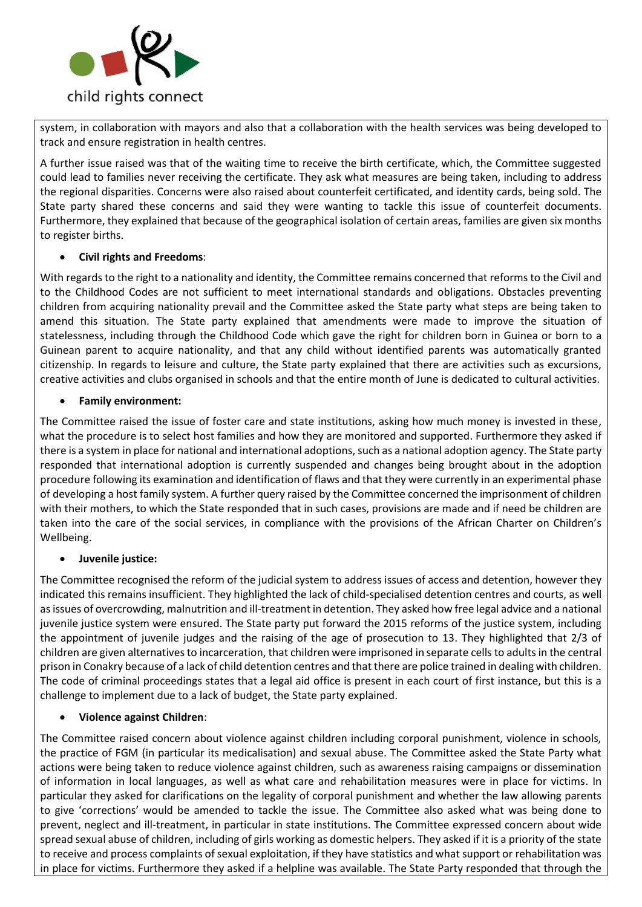

system, in collaboration with mayors and also that a collaboration with the health services was being developed to track and ensure registration in health centres.

A further issue raised was that of the waiting time to receive the birth certificate, which, the Committee suggested could lead to families never receiving the certificate. They ask what measures are being taken, including to address the regional disparities. Concerns were also raised about counterfeit certificated, and identity cards, being sold. The State party shared these concerns and said they were wanting to tackle this issue of counterfeit documents. Furthermore, they explained that because of the geographical isolation of certain areas, families are given six months to register births.

#### • **Civil rights and Freedoms**:

With regards to the right to a nationality and identity, the Committee remains concerned that reforms to the Civil and to the Childhood Codes are not sufficient to meet international standards and obligations. Obstacles preventing children from acquiring nationality prevail and the Committee asked the State party what steps are being taken to amend this situation. The State party explained that amendments were made to improve the situation of statelessness, including through the Childhood Code which gave the right for children born in Guinea or born to a Guinean parent to acquire nationality, and that any child without identified parents was automatically granted citizenship. In regards to leisure and culture, the State party explained that there are activities such as excursions, creative activities and clubs organised in schools and that the entire month of June is dedicated to cultural activities.

#### • **Family environment:**

The Committee raised the issue of foster care and state institutions, asking how much money is invested in these, what the procedure is to select host families and how they are monitored and supported. Furthermore they asked if there is a system in place for national and international adoptions, such as a national adoption agency. The State party responded that international adoption is currently suspended and changes being brought about in the adoption procedure following its examination and identification of flaws and that they were currently in an experimental phase of developing a host family system. A further query raised by the Committee concerned the imprisonment of children with their mothers, to which the State responded that in such cases, provisions are made and if need be children are taken into the care of the social services, in compliance with the provisions of the African Charter on Children's Wellbeing.

#### • **Juvenile justice:**

The Committee recognised the reform of the judicial system to address issues of access and detention, however they indicated this remains insufficient. They highlighted the lack of child-specialised detention centres and courts, as well as issues of overcrowding, malnutrition and ill-treatment in detention. They asked how free legal advice and a national juvenile justice system were ensured. The State party put forward the 2015 reforms of the justice system, including the appointment of juvenile judges and the raising of the age of prosecution to 13. They highlighted that 2/3 of children are given alternatives to incarceration, that children were imprisoned in separate cells to adults in the central prison in Conakry because of a lack of child detention centres and that there are police trained in dealing with children. The code of criminal proceedings states that a legal aid office is present in each court of first instance, but this is a challenge to implement due to a lack of budget, the State party explained.

## • **Violence against Children**:

The Committee raised concern about violence against children including corporal punishment, violence in schools, the practice of FGM (in particular its medicalisation) and sexual abuse. The Committee asked the State Party what actions were being taken to reduce violence against children, such as awareness raising campaigns or dissemination of information in local languages, as well as what care and rehabilitation measures were in place for victims. In particular they asked for clarifications on the legality of corporal punishment and whether the law allowing parents to give 'corrections' would be amended to tackle the issue. The Committee also asked what was being done to prevent, neglect and ill-treatment, in particular in state institutions. The Committee expressed concern about wide spread sexual abuse of children, including of girls working as domestic helpers. They asked if it is a priority of the state to receive and process complaints of sexual exploitation, if they have statistics and what support or rehabilitation was in place for victims. Furthermore they asked if a helpline was available. The State Party responded that through the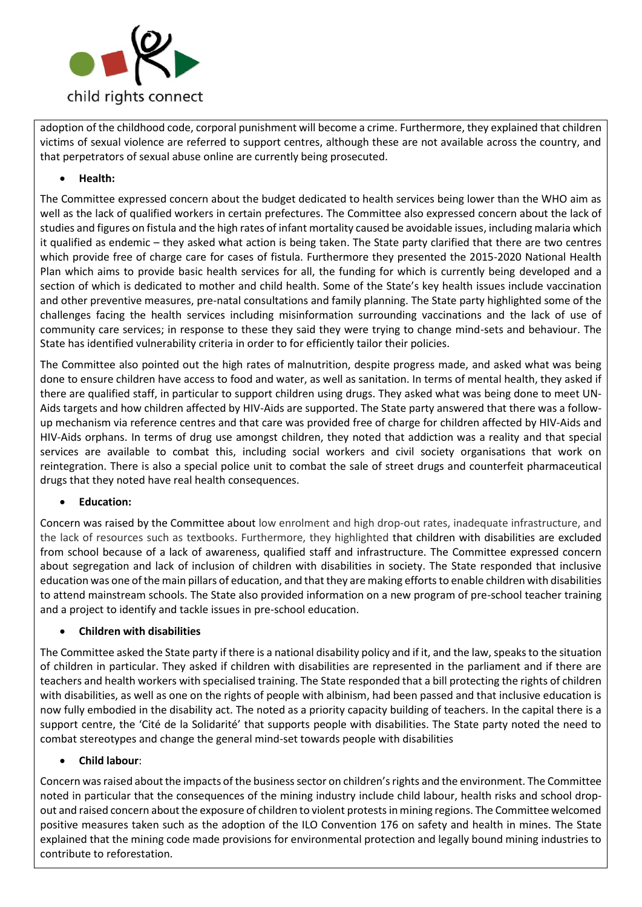

adoption of the childhood code, corporal punishment will become a crime. Furthermore, they explained that children victims of sexual violence are referred to support centres, although these are not available across the country, and that perpetrators of sexual abuse online are currently being prosecuted.

#### • **Health:**

The Committee expressed concern about the budget dedicated to health services being lower than the WHO aim as well as the lack of qualified workers in certain prefectures. The Committee also expressed concern about the lack of studies and figures on fistula and the high rates of infant mortality caused be avoidable issues, including malaria which it qualified as endemic – they asked what action is being taken. The State party clarified that there are two centres which provide free of charge care for cases of fistula. Furthermore they presented the 2015-2020 National Health Plan which aims to provide basic health services for all, the funding for which is currently being developed and a section of which is dedicated to mother and child health. Some of the State's key health issues include vaccination and other preventive measures, pre-natal consultations and family planning. The State party highlighted some of the challenges facing the health services including misinformation surrounding vaccinations and the lack of use of community care services; in response to these they said they were trying to change mind-sets and behaviour. The State has identified vulnerability criteria in order to for efficiently tailor their policies.

The Committee also pointed out the high rates of malnutrition, despite progress made, and asked what was being done to ensure children have access to food and water, as well as sanitation. In terms of mental health, they asked if there are qualified staff, in particular to support children using drugs. They asked what was being done to meet UN-Aids targets and how children affected by HIV-Aids are supported. The State party answered that there was a followup mechanism via reference centres and that care was provided free of charge for children affected by HIV-Aids and HIV-Aids orphans. In terms of drug use amongst children, they noted that addiction was a reality and that special services are available to combat this, including social workers and civil society organisations that work on reintegration. There is also a special police unit to combat the sale of street drugs and counterfeit pharmaceutical drugs that they noted have real health consequences.

#### • **Education:**

Concern was raised by the Committee about low enrolment and high drop-out rates, inadequate infrastructure, and the lack of resources such as textbooks. Furthermore, they highlighted that children with disabilities are excluded from school because of a lack of awareness, qualified staff and infrastructure. The Committee expressed concern about segregation and lack of inclusion of children with disabilities in society. The State responded that inclusive education was one of the main pillars of education, and that they are making efforts to enable children with disabilities to attend mainstream schools. The State also provided information on a new program of pre-school teacher training and a project to identify and tackle issues in pre-school education.

#### • **Children with disabilities**

The Committee asked the State party if there is a national disability policy and if it, and the law, speaks to the situation of children in particular. They asked if children with disabilities are represented in the parliament and if there are teachers and health workers with specialised training. The State responded that a bill protecting the rights of children with disabilities, as well as one on the rights of people with albinism, had been passed and that inclusive education is now fully embodied in the disability act. The noted as a priority capacity building of teachers. In the capital there is a support centre, the 'Cité de la Solidarité' that supports people with disabilities. The State party noted the need to combat stereotypes and change the general mind-set towards people with disabilities

#### • **Child labour**:

Concern was raised about the impacts of the business sector on children's rights and the environment. The Committee noted in particular that the consequences of the mining industry include child labour, health risks and school dropout and raised concern about the exposure of children to violent protests in mining regions. The Committee welcomed positive measures taken such as the adoption of the ILO Convention 176 on safety and health in mines. The State explained that the mining code made provisions for environmental protection and legally bound mining industries to contribute to reforestation.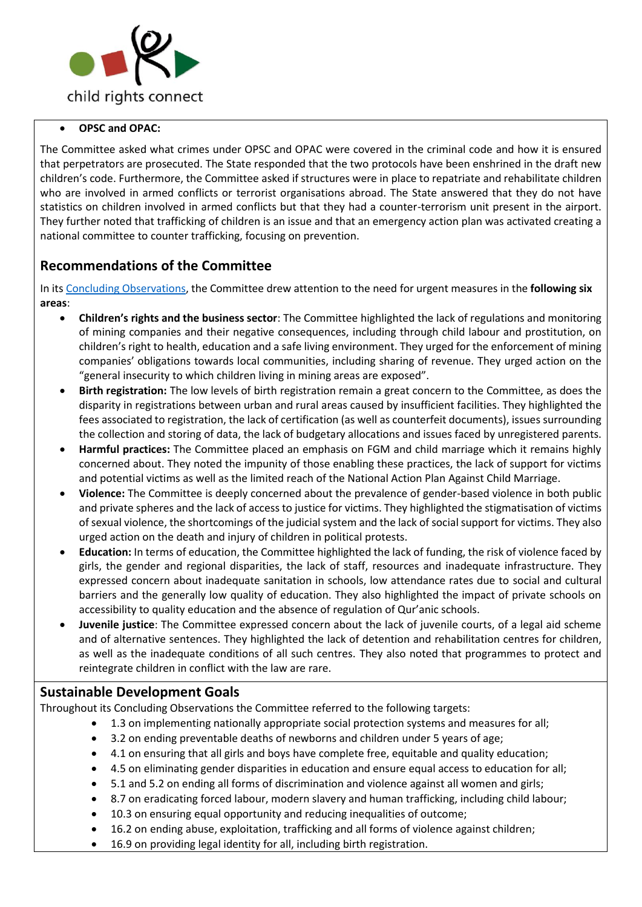

#### • **OPSC and OPAC:**

The Committee asked what crimes under OPSC and OPAC were covered in the criminal code and how it is ensured that perpetrators are prosecuted. The State responded that the two protocols have been enshrined in the draft new children's code. Furthermore, the Committee asked if structures were in place to repatriate and rehabilitate children who are involved in armed conflicts or terrorist organisations abroad. The State answered that they do not have statistics on children involved in armed conflicts but that they had a counter-terrorism unit present in the airport. They further noted that trafficking of children is an issue and that an emergency action plan was activated creating a national committee to counter trafficking, focusing on prevention.

## **Recommendations of the Committee**

In its [Concluding Observations,](https://tbinternet.ohchr.org/_layouts/treatybodyexternal/Download.aspx?symbolno=CRC%2fC%2fGIN%2fCO%2f3-6&Lang=en) the Committee drew attention to the need for urgent measures in the **following six areas**:

- **Children's rights and the business sector**: The Committee highlighted the lack of regulations and monitoring of mining companies and their negative consequences, including through child labour and prostitution, on children's right to health, education and a safe living environment. They urged for the enforcement of mining companies' obligations towards local communities, including sharing of revenue. They urged action on the "general insecurity to which children living in mining areas are exposed".
- **Birth registration:** The low levels of birth registration remain a great concern to the Committee, as does the disparity in registrations between urban and rural areas caused by insufficient facilities. They highlighted the fees associated to registration, the lack of certification (as well as counterfeit documents), issues surrounding the collection and storing of data, the lack of budgetary allocations and issues faced by unregistered parents.
- **Harmful practices:** The Committee placed an emphasis on FGM and child marriage which it remains highly concerned about. They noted the impunity of those enabling these practices, the lack of support for victims and potential victims as well as the limited reach of the National Action Plan Against Child Marriage.
- **Violence:** The Committee is deeply concerned about the prevalence of gender-based violence in both public and private spheres and the lack of access to justice for victims. They highlighted the stigmatisation of victims of sexual violence, the shortcomings of the judicial system and the lack of social support for victims. They also urged action on the death and injury of children in political protests.
- **Education:** In terms of education, the Committee highlighted the lack of funding, the risk of violence faced by girls, the gender and regional disparities, the lack of staff, resources and inadequate infrastructure. They expressed concern about inadequate sanitation in schools, low attendance rates due to social and cultural barriers and the generally low quality of education. They also highlighted the impact of private schools on accessibility to quality education and the absence of regulation of Qur'anic schools.
- **Juvenile justice**: The Committee expressed concern about the lack of juvenile courts, of a legal aid scheme and of alternative sentences. They highlighted the lack of detention and rehabilitation centres for children, as well as the inadequate conditions of all such centres. They also noted that programmes to protect and reintegrate children in conflict with the law are rare.

## **Sustainable Development Goals**

Throughout its Concluding Observations the Committee referred to the following targets:

- 1.3 on implementing nationally appropriate social protection systems and measures for all;
- 3.2 on ending preventable deaths of newborns and children under 5 years of age;
- 4.1 on ensuring that all girls and boys have complete free, equitable and quality education;
- 4.5 on eliminating gender disparities in education and ensure equal access to education for all;
- 5.1 and 5.2 on ending all forms of discrimination and violence against all women and girls;
- 8.7 on eradicating forced labour, modern slavery and human trafficking, including child labour;
- 10.3 on ensuring equal opportunity and reducing inequalities of outcome;
- 16.2 on ending abuse, exploitation, trafficking and all forms of violence against children;
- 16.9 on providing legal identity for all, including birth registration.